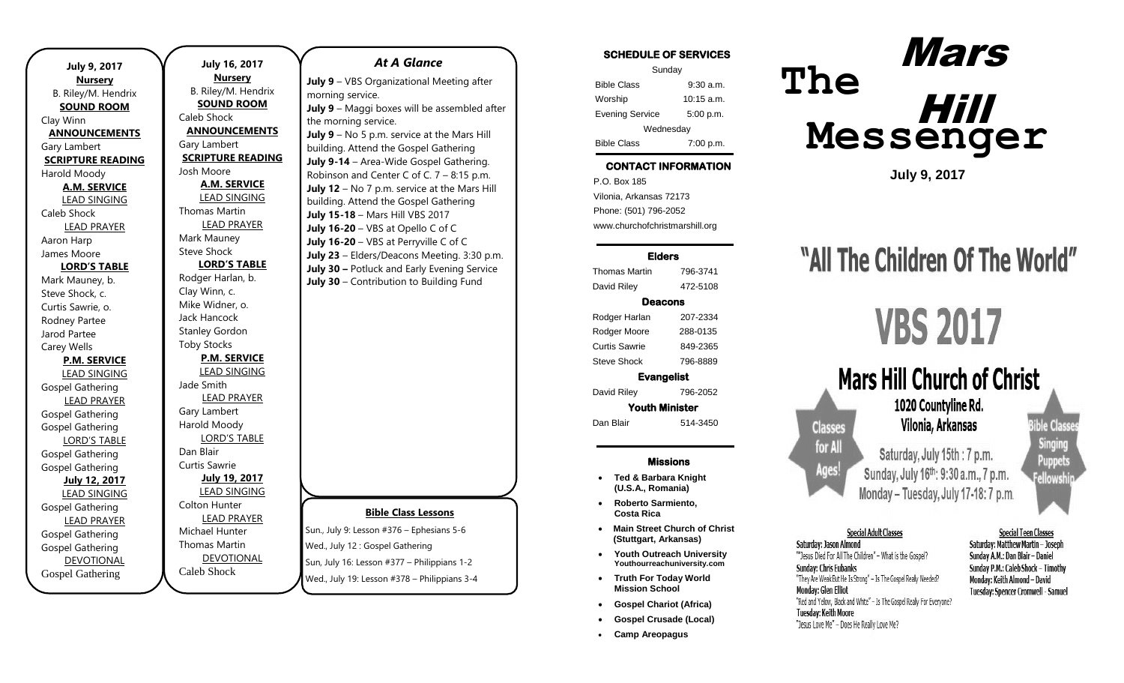| <b>July 9, 2017</b>      |  |  |
|--------------------------|--|--|
| <b>Nursery</b>           |  |  |
| B. Riley/M. Hendrix      |  |  |
| <b>SOUND ROOM</b>        |  |  |
| Clay Winn                |  |  |
| <b>ANNOUNCEMENTS</b>     |  |  |
| Gary Lambert             |  |  |
| <b>SCRIPTURE READING</b> |  |  |
| Harold Moody             |  |  |
| <b>A.M. SERVICE</b>      |  |  |
| <b>LEAD SINGING</b>      |  |  |
| Caleb Shock              |  |  |
| <b>LEAD PRAYER</b>       |  |  |
| Aaron Harp               |  |  |
| James Moore              |  |  |
| <b>LORD'S TABLE</b>      |  |  |
| Mark Mauney, b.          |  |  |
| Steve Shock, c.          |  |  |
| Curtis Sawrie, o.        |  |  |
| Rodney Partee            |  |  |
| Jarod Partee             |  |  |
| Carey Wells              |  |  |
| <b>P.M. SERVICE</b>      |  |  |
| <b>LEAD SINGING</b>      |  |  |
| Gospel Gathering         |  |  |
| <b>LEAD PRAYER</b>       |  |  |
| <b>Gospel Gathering</b>  |  |  |
| <b>Gospel Gathering</b>  |  |  |
| <b>LORD'S TABLE</b>      |  |  |
| <b>Gospel Gathering</b>  |  |  |
| <b>Gospel Gathering</b>  |  |  |
| <b>July 12, 2017</b>     |  |  |
| <b>LEAD SINGING</b>      |  |  |
| Gospel Gathering         |  |  |
| <b>LEAD PRAYER</b>       |  |  |
| Gospel Gathering         |  |  |
| <b>Gospel Gathering</b>  |  |  |
| <b>DEVOTIONAL</b>        |  |  |
| <b>Gospel Gathering</b>  |  |  |

 $\overline{\phantom{0}}$ 

**July 16, 2017 Nursery** B. Riley/M. Hendrix **SOUND ROOM** Caleb Shock **ANNOUNCEMENTS** Gary Lambert **SCRIPTURE READING** Josh Moore **A.M. SERVICE** LEAD SINGING Thomas Martin LEAD PRAYER Mark Mauney Steve Shock **LORD'S TABLE** Rodger Harlan, b. Clay Winn, c. Mike Widner, o. Jack Hancock Stanley Gordon Toby Stocks **P.M. SERVICE** LEAD SINGING Jade Smith LEAD PRAYER Gary Lambert Harold Moody LORD'S TABLE Dan Blair Curtis Sawrie **July 19, 2017** LEAD SINGING Colton Hunter LEAD PRAYER Michael Hunter Thomas Martin DEVOTIONAL Caleb Shock

# **Bible Class Lessons** Sun., July 9: Lesson #376 – Ephesians 5-6 Wed., July 12 : Gospel Gathering Sun, July 16: Lesson #377 – Philippians 1-2 *At A Glance*  **July 9** – VBS Organizational Meeting after morning service. **July 9** – Maggi boxes will be assembled after the morning service. **July 9** – No 5 p.m. service at the Mars Hill building. Attend the Gospel Gathering **July 9-14** – Area-Wide Gospel Gathering. Robinson and Center C of C. 7 – 8:15 p.m. **July 12** – No 7 p.m. service at the Mars Hill building. Attend the Gospel Gathering **July 15-18** – Mars Hill VBS 2017 **July 16-20** – VBS at Opello C of C **July 16-20** – VBS at Perryville C of C **July 23** – Elders/Deacons Meeting. 3:30 p.m. **July 30 –** Potluck and Early Evening Service **July 30** – Contribution to Building Fund

Wed., July 19: Lesson #378 – Philippians 3-4

 $\overline{\phantom{a}}$  ,  $\overline{\phantom{a}}$  ,  $\overline{\phantom{a}}$  ,  $\overline{\phantom{a}}$  ,  $\overline{\phantom{a}}$  ,  $\overline{\phantom{a}}$  ,  $\overline{\phantom{a}}$  ,  $\overline{\phantom{a}}$  ,  $\overline{\phantom{a}}$  ,  $\overline{\phantom{a}}$  ,  $\overline{\phantom{a}}$  ,  $\overline{\phantom{a}}$  ,  $\overline{\phantom{a}}$  ,  $\overline{\phantom{a}}$  ,  $\overline{\phantom{a}}$  ,  $\overline{\phantom{a}}$ 

### SCHEDULE OF SERVICES

| Sunday                 |              |  |
|------------------------|--------------|--|
| <b>Bible Class</b>     | $9:30$ a.m.  |  |
| Worship                | $10:15$ a.m. |  |
| <b>Evening Service</b> | 5:00 p.m.    |  |
| Wednesday              |              |  |
| <b>Bible Class</b>     | 7:00 p.m.    |  |

### CONTACT INFORMATION

. .o. Box 166<br>Vilonia, Arkansas 72173 P.O. Box 185 Phone: (501) 796-2052 www.churchofchristmarshill.org

### Elders

Thomas Martin 796-3741 David Riley 472-5108

### Deacons

Rodger Harlan 207-2334 Rodger Moore 288-0135 Curtis Sawrie 849-2365 Steve Shock 796-8889

Evangelist

David Riley 796-2052 Youth Minister

Dan Blair 514-3450

#### Missions

- **Ted & Barbara Knight (U.S.A., Romania)**
- **Roberto Sarmiento, Costa Rica**
- **Main Street Church of Christ (Stuttgart, Arkansas)**
- **Youth Outreach University Youthourreachuniversity.com**
- **Truth For Today World Mission School**
- **Gospel Chariot (Africa)**
- **Gospel Crusade (Local)**
- **Camp Areopagus**

# **The Messenger** Mars Hill

**July 9, 2017**

# "All The Children Of The World"

# **VBS 2017**



**Bible Clas** Singing Puppets **Fellowsh** 

### **Special Adult Classes**

Saturdav: Jason Almond ""Jesus Died For All The Children" - What is the Gospel? **Sunday: Chris Eubanks** "They Are Weak But He Is Strong" - Is The Gospel Realy Needed? **Monday: Glen Elliot** "Red and Yelow, Black and White" - Is The Gospel Really For Everyone? **Tuesday: Keith Moore** "Jesus Love Me" - Does He Really Love Me?

#### **Special Teen Classes** Saturday: Matthew Martin - Joseph Sunday A.M.: Dan Blair - Daniel Sunday P.M.: Caleb Shock - Timothy Monday: Keith Almond - David

**Tuesday: Spencer Cromwell - Samuel**